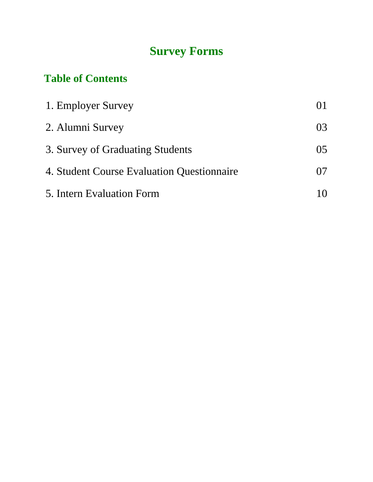# **Survey Forms**

# **Table of Contents**

| 1. Employer Survey                         |    |
|--------------------------------------------|----|
| 2. Alumni Survey                           | 03 |
| 3. Survey of Graduating Students           | 05 |
| 4. Student Course Evaluation Questionnaire | 07 |
| 5. Intern Evaluation Form                  |    |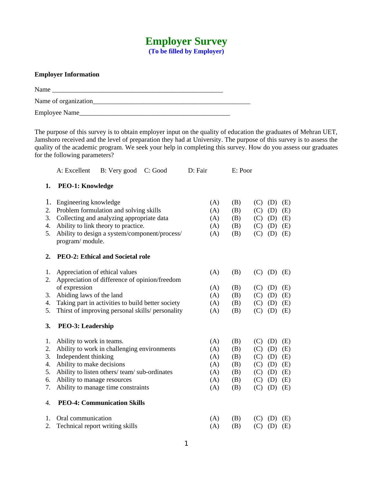### **Employer Survey (To be filled by Employer)**

#### **Employer Information**

Name  $\blacksquare$ 

Name of organization\_\_\_\_\_\_\_\_\_\_\_\_\_\_\_\_\_\_\_\_\_\_\_\_\_\_\_\_\_\_\_\_\_\_\_\_\_\_\_\_\_\_\_\_\_\_\_

Employee Name\_\_\_\_\_\_\_\_\_\_\_\_\_\_\_\_\_\_\_\_\_\_\_\_\_\_\_\_\_\_\_\_\_\_\_\_\_\_\_\_\_\_\_\_\_

The purpose of this survey is to obtain employer input on the quality of education the graduates of Mehran UET, Jamshoro received and the level of preparation they had at University. The purpose of this survey is to assess the quality of the academic program. We seek your help in completing this survey. How do you assess our graduates for the following parameters?

|                            | A: Excellent                                      | B: Very good C: Good                                                                                                                                                        | D: Fair                         | E: Poor                         |                                 |                                 |                                 |
|----------------------------|---------------------------------------------------|-----------------------------------------------------------------------------------------------------------------------------------------------------------------------------|---------------------------------|---------------------------------|---------------------------------|---------------------------------|---------------------------------|
| 1.                         | <b>PEO-1: Knowledge</b>                           |                                                                                                                                                                             |                                 |                                 |                                 |                                 |                                 |
| 1.<br>2.<br>3.<br>4.<br>5. | Engineering knowledge<br>program/ module.         | Problem formulation and solving skills<br>Collecting and analyzing appropriate data<br>Ability to link theory to practice.<br>Ability to design a system/component/process/ | (A)<br>(A)<br>(A)<br>(A)<br>(A) | (B)<br>(B)<br>(B)<br>(B)<br>(B) | (C)<br>(C)<br>(C)<br>(C)<br>(C) | (D)<br>(D)<br>(D)<br>(D)<br>(D) | (E)<br>(E)<br>(E)<br>(E)<br>(E) |
| 2.                         |                                                   | <b>PEO-2: Ethical and Societal role</b>                                                                                                                                     |                                 |                                 |                                 |                                 |                                 |
| 1.<br>2.                   | Appreciation of ethical values                    | Appreciation of difference of opinion/freedom                                                                                                                               | (A)                             | (B)                             | (C)                             | (D)                             | (E)                             |
|                            | of expression                                     |                                                                                                                                                                             | (A)                             | (B)                             | (C)                             | (D)                             | (E)                             |
| 3.<br>4.                   | Abiding laws of the land                          | Taking part in activities to build better society                                                                                                                           | (A)<br>(A)                      | (B)<br>(B)                      | (C)<br>(C)                      | (D)<br>(D)                      | (E)<br>(E)                      |
| 5.                         |                                                   | Thirst of improving personal skills/ personality                                                                                                                            | (A)                             | (B)                             | (C)                             | (D)                             | (E)                             |
| 3.                         | <b>PEO-3: Leadership</b>                          |                                                                                                                                                                             |                                 |                                 |                                 |                                 |                                 |
| 1.                         | Ability to work in teams.                         |                                                                                                                                                                             | (A)                             | (B)                             | (C)                             | (D)                             | (E)                             |
| 2.                         |                                                   | Ability to work in challenging environments                                                                                                                                 | (A)                             | (B)                             | (C)                             | (D)                             | (E)                             |
| 3.<br>4.                   | Independent thinking<br>Ability to make decisions |                                                                                                                                                                             | (A)<br>(A)                      | (B)<br>(B)                      | (C)<br>(C)                      | (D)<br>(D)                      | (E)<br>(E)                      |
| 5.                         |                                                   | Ability to listen others/team/sub-ordinates                                                                                                                                 | (A)                             | (B)                             | (C)                             | (D)                             | (E)                             |
| 6.                         | Ability to manage resources                       |                                                                                                                                                                             | (A)                             | (B)                             | (C)                             | (D)                             | (E)                             |
| 7.                         |                                                   | Ability to manage time constraints                                                                                                                                          | (A)                             | (B)                             | (C)                             | (D)                             | (E)                             |
| 4.                         |                                                   | <b>PEO-4: Communication Skills</b>                                                                                                                                          |                                 |                                 |                                 |                                 |                                 |
| 1.                         | Oral communication                                |                                                                                                                                                                             | (A)                             | (B)                             | (C)                             | (D)                             | (E)                             |
| 2.                         | Technical report writing skills                   |                                                                                                                                                                             | (A)                             | (B)                             | (C)                             | (D)                             | (E)                             |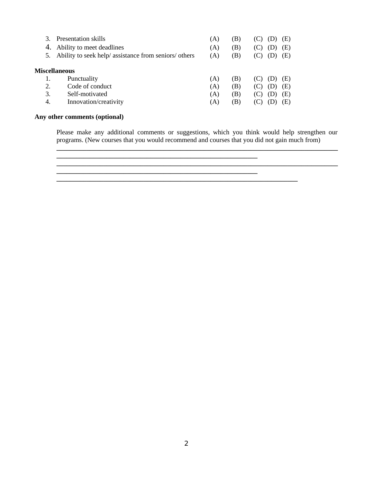| З.<br>4.<br>5. | Presentation skills<br>Ability to meet deadlines<br>Ability to seek help/ assistance from seniors/ others | (A)<br>(A)<br>(A) | B)<br>$\mathbf{B}$<br>B) | (E)<br>Έ)<br>(E) |
|----------------|-----------------------------------------------------------------------------------------------------------|-------------------|--------------------------|------------------|
|                | <b>Miscellaneous</b>                                                                                      |                   |                          |                  |
| 1.             | Punctuality                                                                                               | (A)               | B)                       | ٠E)              |
| 2.             | Code of conduct                                                                                           | (A)               | Έ)                       | (E)              |
| 3.             | Self-motivated                                                                                            | (A)               | $\vert B \rangle$        | (E)              |
| 4.             | Innovation/creativity                                                                                     | (A)               | $\mathbf{B}$             | Έ                |

**\_\_\_\_\_\_\_\_\_\_\_\_\_\_\_\_\_\_\_\_\_\_\_\_\_\_\_\_\_\_\_\_\_\_\_\_\_\_\_\_\_\_\_\_\_\_\_\_\_\_\_\_\_\_\_\_\_\_\_\_**

**\_\_\_\_\_\_\_\_\_\_\_\_\_\_\_\_\_\_\_\_\_\_\_\_\_\_\_\_\_\_\_\_\_\_\_\_\_\_\_\_\_\_\_\_\_\_\_\_\_\_\_\_\_\_\_\_\_\_\_\_**

#### **Any other comments (optional)**

Please make any additional comments or suggestions, which you think would help strengthen our programs. (New courses that you would recommend and courses that you did not gain much from) **\_\_\_\_\_\_\_\_\_\_\_\_\_\_\_\_\_\_\_\_\_\_\_\_\_\_\_\_\_\_\_\_\_\_\_\_\_\_\_\_\_\_\_\_\_\_\_\_\_\_\_\_\_\_\_\_\_\_\_\_\_\_\_\_\_\_\_\_\_\_\_\_\_\_\_\_\_\_\_\_\_\_\_\_**

**\_\_\_\_\_\_\_\_\_\_\_\_\_\_\_\_\_\_\_\_\_\_\_\_\_\_\_\_\_\_\_\_\_\_\_\_\_\_\_\_\_\_\_\_\_\_\_\_\_\_\_\_\_\_\_\_\_\_\_\_\_\_\_\_\_\_\_\_\_\_\_\_\_\_\_\_\_\_\_\_\_\_\_\_**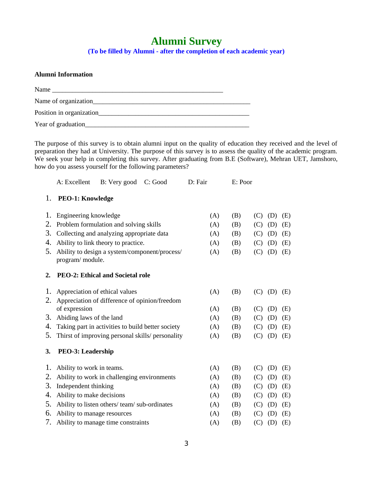## **Alumni Survey (To be filled by Alumni - after the completion of each academic year)**

| <b>Alumni Information</b> |  |
|---------------------------|--|
|                           |  |
|                           |  |
| Position in organization  |  |
|                           |  |

The purpose of this survey is to obtain alumni input on the quality of education they received and the level of preparation they had at University. The purpose of this survey is to assess the quality of the academic program. We seek your help in completing this survey. After graduating from B.E (Software), Mehran UET, Jamshoro, how do you assess yourself for the following parameters?

|    | A: Excellent                   | B: Very good                                      | C: Good | D: Fair | E: Poor |                   |
|----|--------------------------------|---------------------------------------------------|---------|---------|---------|-------------------|
| 1. | <b>PEO-1: Knowledge</b>        |                                                   |         |         |         |                   |
| 1. | Engineering knowledge          |                                                   |         | (A)     | (B)     | (D)<br>(E)<br>(C) |
| 2. |                                | Problem formulation and solving skills            |         | (A)     | (B)     | (C)<br>(D)<br>(E) |
| З. |                                | Collecting and analyzing appropriate data         |         | (A)     | (B)     | (C)<br>(D)<br>(E) |
| 4. |                                | Ability to link theory to practice.               |         | (A)     | (B)     | (C)<br>(D)<br>(E) |
| 5. | program/ module.               | Ability to design a system/component/process/     |         | (A)     | (B)     | (C)<br>(D)<br>(E) |
| 2. |                                | <b>PEO-2: Ethical and Societal role</b>           |         |         |         |                   |
| 1. | Appreciation of ethical values |                                                   |         | (A)     | (B)     | (C)<br>(D)<br>(E) |
| 2. |                                | Appreciation of difference of opinion/freedom     |         |         |         |                   |
|    | of expression                  |                                                   |         | (A)     | (B)     | (C)<br>(D)<br>(E) |
| З. | Abiding laws of the land       |                                                   |         | (A)     | (B)     | (E)<br>(C)<br>(D) |
| 4. |                                | Taking part in activities to build better society |         | (A)     | (B)     | (C)<br>(D)<br>(E) |
| 5. |                                | Thirst of improving personal skills/ personality  |         | (A)     | (B)     | (C)<br>(D)<br>(E) |
| 3. | <b>PEO-3: Leadership</b>       |                                                   |         |         |         |                   |
| 1. | Ability to work in teams.      |                                                   |         | (A)     | (B)     | (D)<br>(E)<br>(C) |
| 2. |                                | Ability to work in challenging environments       |         | (A)     | (B)     | (C)<br>(D)<br>(E) |
| З. | Independent thinking           |                                                   |         | (A)     | (B)     | (C)<br>(D)<br>(E) |
| 4. | Ability to make decisions      |                                                   |         | (A)     | (B)     | (D)<br>(C)<br>(E) |
| 5. |                                | Ability to listen others/team/sub-ordinates       |         | (A)     | (B)     | (D)<br>(E)<br>(C) |
| 6. | Ability to manage resources    |                                                   |         | (A)     | (B)     | (C)<br>(D)<br>(E) |
| 7. |                                | Ability to manage time constraints                |         | (A)     | (B)     | (C)<br>(D)<br>(E) |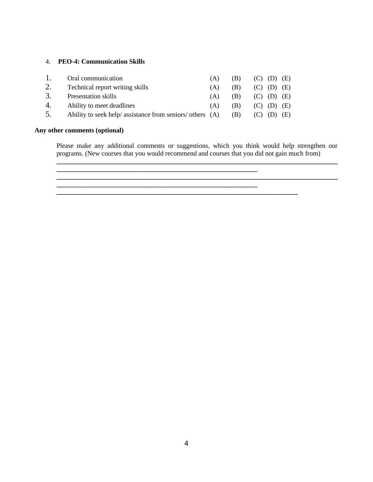#### 4. **PEO-4: Communication Skills**

|    | Oral communication                                        | (A) | (B) | $(C)$ $(D)$ $(E)$ |     |
|----|-----------------------------------------------------------|-----|-----|-------------------|-----|
| 2. | Technical report writing skills                           | (A) | (B) | $(C)$ $(D)$ $(E)$ |     |
| 3. | Presentation skills                                       | (A) | (B) | $(C)$ $(D)$ $(E)$ |     |
| 4. | Ability to meet deadlines                                 | (A) | (B) | $(C)$ $(D)$ $(E)$ |     |
| 5. | Ability to seek help/ assistance from seniors/ others (A) |     | (B) |                   | (E) |

**\_\_\_\_\_\_\_\_\_\_\_\_\_\_\_\_\_\_\_\_\_\_\_\_\_\_\_\_\_\_\_\_\_\_\_\_\_\_\_\_\_\_\_\_\_\_\_\_\_\_\_\_\_\_\_\_\_\_\_\_**

**\_\_\_\_\_\_\_\_\_\_\_\_\_\_\_\_\_\_\_\_\_\_\_\_\_\_\_\_\_\_\_\_\_\_\_\_\_\_\_\_\_\_\_\_\_\_\_\_\_\_\_\_\_\_\_\_\_\_\_\_**

**\_\_\_\_\_\_\_\_\_\_\_\_\_\_\_\_\_\_\_\_\_\_\_\_\_\_\_\_\_\_\_\_\_\_\_\_\_\_\_\_\_\_\_\_\_\_\_\_\_\_\_\_\_\_\_\_\_\_\_\_\_\_\_\_\_\_\_\_\_\_\_\_**

#### **Any other comments (optional)**

Please make any additional comments or suggestions, which you think would help strengthen our programs. (New courses that you would recommend and courses that you did not gain much from) **\_\_\_\_\_\_\_\_\_\_\_\_\_\_\_\_\_\_\_\_\_\_\_\_\_\_\_\_\_\_\_\_\_\_\_\_\_\_\_\_\_\_\_\_\_\_\_\_\_\_\_\_\_\_\_\_\_\_\_\_\_\_\_\_\_\_\_\_\_\_\_\_\_\_\_\_\_\_\_\_\_\_\_\_**

4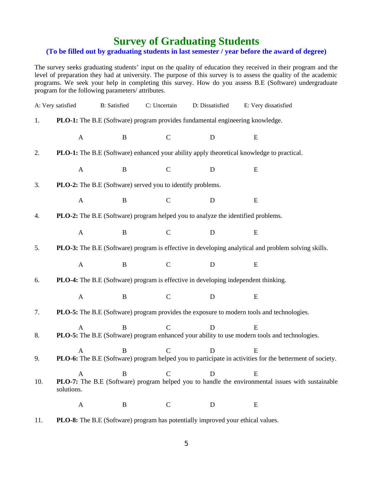## **Survey of Graduating Students**

### **(To be filled out by graduating students in last semester / year before the award of degree)**

The survey seeks graduating students' input on the quality of education they received in their program and the level of preparation they had at university. The purpose of this survey is to assess the quality of the academic programs. We seek your help in completing this survey. How do you assess B.E (Software) undergraduate program for the following parameters/ attributes.

|     | A: Very satisfied | <b>B:</b> Satisfied | C: Uncertain                                               | D: Dissatisfied                                                                        | E: Very dissatisfied                                                                                                  |  |
|-----|-------------------|---------------------|------------------------------------------------------------|----------------------------------------------------------------------------------------|-----------------------------------------------------------------------------------------------------------------------|--|
| 1.  |                   |                     |                                                            | PLO-1: The B.E (Software) program provides fundamental engineering knowledge.          |                                                                                                                       |  |
|     | $\mathbf{A}$      | $\, {\bf B}$        | $\mathsf{C}$                                               | $\mathbf D$                                                                            | ${\bf E}$                                                                                                             |  |
| 2.  |                   |                     |                                                            |                                                                                        | PLO-1: The B.E (Software) enhanced your ability apply theoretical knowledge to practical.                             |  |
|     | $\boldsymbol{A}$  | $\, {\bf B}$        | $\mathsf C$                                                | $\mathbf D$                                                                            | ${\bf E}$                                                                                                             |  |
| 3.  |                   |                     | PLO-2: The B.E (Software) served you to identify problems. |                                                                                        |                                                                                                                       |  |
|     | $\mathbf{A}$      | $\bf{B}$            | $\mathsf{C}$                                               | D                                                                                      | E                                                                                                                     |  |
| 4.  |                   |                     |                                                            | PLO-2: The B.E (Software) program helped you to analyze the identified problems.       |                                                                                                                       |  |
|     | $\mathbf{A}$      | $\, {\bf B}$        | $\mathsf{C}$                                               | ${\bf D}$                                                                              | ${\bf E}$                                                                                                             |  |
| 5.  |                   |                     |                                                            |                                                                                        | PLO-3: The B.E (Software) program is effective in developing analytical and problem solving skills.                   |  |
|     | $\boldsymbol{A}$  | $\mathbf B$         | $\mathsf{C}$                                               | $\mathbf D$                                                                            | ${\bf E}$                                                                                                             |  |
| 6.  |                   |                     |                                                            | PLO-4: The B.E (Software) program is effective in developing independent thinking.     |                                                                                                                       |  |
|     | $\mathbf{A}$      | $\bf{B}$            | $\mathsf{C}$                                               | $\mathbf D$                                                                            | ${\bf E}$                                                                                                             |  |
| 7.  |                   |                     |                                                            |                                                                                        | PLO-5: The B.E (Software) program provides the exposure to modern tools and technologies.                             |  |
| 8.  | $\mathbf{A}$      | B                   | $\overline{C}$                                             | D                                                                                      | E<br>PLO-5: The B.E (Software) program enhanced your ability to use modern tools and technologies.                    |  |
| 9.  | $\mathbf{A}$      | B                   | $\mathsf{C}$                                               | D                                                                                      | ${\bf E}$<br>PLO-6: The B.E (Software) program helped you to participate in activities for the betterment of society. |  |
| 10. | solutions.        |                     | $R \qquad C$                                               | $\Box$                                                                                 | E.<br>PLO-7: The B.E (Software) program helped you to handle the environmental issues with sustainable                |  |
|     | $\boldsymbol{A}$  | B                   | $\mathsf{C}$                                               | D                                                                                      | E                                                                                                                     |  |
| 11. |                   |                     |                                                            | <b>PLO-8:</b> The B.E (Software) program has potentially improved your ethical values. |                                                                                                                       |  |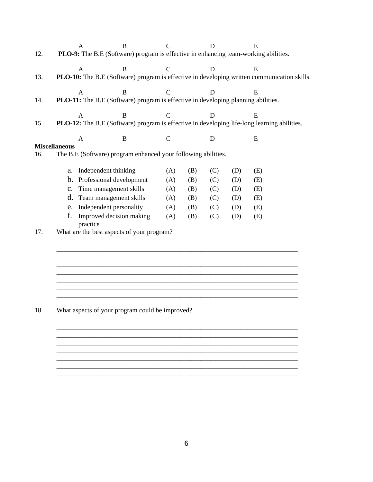|     |                      | $\mathbf{A}$ | B                                                                                   | $\mathsf{C}$ |     | D   |     | E                                                                                           |  |
|-----|----------------------|--------------|-------------------------------------------------------------------------------------|--------------|-----|-----|-----|---------------------------------------------------------------------------------------------|--|
| 12. |                      |              | PLO-9: The B.E (Software) program is effective in enhancing team-working abilities. |              |     |     |     |                                                                                             |  |
|     |                      | A            | B                                                                                   | C            |     | D   |     | E.                                                                                          |  |
| 13. |                      |              |                                                                                     |              |     |     |     | PLO-10: The B.E (Software) program is effective in developing written communication skills. |  |
|     |                      | A            | B                                                                                   | $\mathsf{C}$ |     | D   |     | E.                                                                                          |  |
| 14. |                      |              | PLO-11: The B.E (Software) program is effective in developing planning abilities.   |              |     |     |     |                                                                                             |  |
|     |                      | $\mathsf{A}$ | B                                                                                   | $\mathsf{C}$ |     | D   |     | E.                                                                                          |  |
| 15. |                      |              |                                                                                     |              |     |     |     | PLO-12: The B.E (Software) program is effective in developing life-long learning abilities. |  |
|     |                      | $\mathbf{A}$ | $\mathbf B$                                                                         | $\mathsf{C}$ |     | D   |     | E                                                                                           |  |
|     | <b>Miscellaneous</b> |              |                                                                                     |              |     |     |     |                                                                                             |  |
| 16. |                      |              | The B.E (Software) program enhanced your following abilities.                       |              |     |     |     |                                                                                             |  |
|     | a.                   |              | Independent thinking                                                                | (A)          | (B) | (C) | (D) | (E)                                                                                         |  |
|     | b.                   |              | Professional development                                                            | (A)          | (B) | (C) | (D) | (E)                                                                                         |  |
|     | C.                   |              | Time management skills                                                              | (A)          | (B) | (C) | (D) | (E)                                                                                         |  |
|     | d.                   |              | Team management skills                                                              | (A)          | (B) | (C) | (D) | (E)                                                                                         |  |
|     | e.                   |              | Independent personality                                                             | (A)          | (B) | (C) | (D) | (E)                                                                                         |  |
|     | f.                   | practice     | Improved decision making                                                            | (A)          | (B) | (C) | (D) | (E)                                                                                         |  |
| 17. |                      |              | What are the best aspects of your program?                                          |              |     |     |     |                                                                                             |  |
|     |                      |              |                                                                                     |              |     |     |     |                                                                                             |  |
|     |                      |              |                                                                                     |              |     |     |     |                                                                                             |  |
|     |                      |              |                                                                                     |              |     |     |     |                                                                                             |  |
|     |                      |              |                                                                                     |              |     |     |     |                                                                                             |  |
|     |                      |              |                                                                                     |              |     |     |     |                                                                                             |  |
|     |                      |              |                                                                                     |              |     |     |     |                                                                                             |  |
|     |                      |              |                                                                                     |              |     |     |     |                                                                                             |  |
| 18  |                      |              | What aspects of your program could be improved?                                     |              |     |     |     |                                                                                             |  |

#### 18. What aspects of your program could be improved?

\_\_\_\_\_\_\_\_\_\_\_\_\_\_\_\_\_\_\_\_\_\_\_\_\_\_\_\_\_\_\_\_\_\_\_\_\_\_\_\_\_\_\_\_\_\_\_\_\_\_\_\_\_\_\_\_\_\_\_\_\_\_\_\_\_\_\_\_\_\_\_\_ \_\_\_\_\_\_\_\_\_\_\_\_\_\_\_\_\_\_\_\_\_\_\_\_\_\_\_\_\_\_\_\_\_\_\_\_\_\_\_\_\_\_\_\_\_\_\_\_\_\_\_\_\_\_\_\_\_\_\_\_\_\_\_\_\_\_\_\_\_\_\_\_

\_\_\_\_\_\_\_\_\_\_\_\_\_\_\_\_\_\_\_\_\_\_\_\_\_\_\_\_\_\_\_\_\_\_\_\_\_\_\_\_\_\_\_\_\_\_\_\_\_\_\_\_\_\_\_\_\_\_\_\_\_\_\_\_\_\_\_\_\_\_\_\_  $\overline{\phantom{a}}$  , and the contribution of the contribution of the contribution of the contribution of the contribution of the contribution of the contribution of the contribution of the contribution of the contribution of the \_\_\_\_\_\_\_\_\_\_\_\_\_\_\_\_\_\_\_\_\_\_\_\_\_\_\_\_\_\_\_\_\_\_\_\_\_\_\_\_\_\_\_\_\_\_\_\_\_\_\_\_\_\_\_\_\_\_\_\_\_\_\_\_\_\_\_\_\_\_\_\_

\_\_\_\_\_\_\_\_\_\_\_\_\_\_\_\_\_\_\_\_\_\_\_\_\_\_\_\_\_\_\_\_\_\_\_\_\_\_\_\_\_\_\_\_\_\_\_\_\_\_\_\_\_\_\_\_\_\_\_\_\_\_\_\_\_\_\_\_\_\_\_\_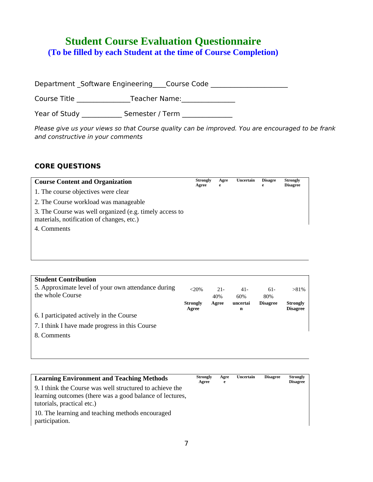# **Student Course Evaluation Questionnaire**

**(To be filled by each Student at the time of Course Completion)**

Department \_Software Engineering \_\_\_\_Course Code \_\_\_\_\_\_\_\_\_\_\_\_\_\_\_\_\_\_\_\_\_\_\_\_\_\_\_\_\_\_\_

Course Title \_\_\_\_\_\_\_\_\_\_\_\_\_\_\_\_Teacher Name:\_\_\_\_\_\_\_\_\_\_\_\_\_\_\_\_

Year of Study \_\_\_\_\_\_\_\_\_\_\_\_\_\_ Semester / Term \_\_\_\_\_\_\_\_\_\_\_\_\_\_\_\_\_\_\_\_\_\_\_\_\_\_\_\_\_\_\_\_\_\_\_

Please give us your views so that Course quality can be improved. You are encouraged to be frank and constructive in your comments

### **CORE QUESTIONS**

| <b>Course Content and Organization</b>                                                               | <b>Strongly</b><br>Agree | Agre<br>e | Uncertain | <b>Disagre</b><br>e | <b>Strongly</b><br><b>Disagree</b> |
|------------------------------------------------------------------------------------------------------|--------------------------|-----------|-----------|---------------------|------------------------------------|
| 1. The course objectives were clear                                                                  |                          |           |           |                     |                                    |
| 2. The Course workload was manageable                                                                |                          |           |           |                     |                                    |
| 3. The Course was well organized (e.g. timely access to<br>materials, notification of changes, etc.) |                          |           |           |                     |                                    |
| 4. Comments                                                                                          |                          |           |           |                     |                                    |

| <b>Student Contribution</b>                        |                 |        |          |                 |                 |
|----------------------------------------------------|-----------------|--------|----------|-----------------|-----------------|
| 5. Approximate level of your own attendance during | $<20\%$         | $21 -$ | $41 -$   | $61 -$          | $>81\%$         |
| the whole Course                                   |                 | 40%    | 60%      | 80%             |                 |
|                                                    | <b>Strongly</b> | Agree  | uncertai | <b>Disagree</b> | <b>Strongly</b> |
|                                                    | Agree           |        | n        |                 | <b>Disagree</b> |
| 6. I participated actively in the Course           |                 |        |          |                 |                 |
|                                                    |                 |        |          |                 |                 |
| 7. I think I have made progress in this Course     |                 |        |          |                 |                 |
| 8. Comments                                        |                 |        |          |                 |                 |

| <b>Learning Environment and Teaching Methods</b>                                                                                                   | Strongly<br>Agree | Agre<br>e | Uncertain | <b>Disagree</b> | <b>Strongly</b><br><b>Disagree</b> |
|----------------------------------------------------------------------------------------------------------------------------------------------------|-------------------|-----------|-----------|-----------------|------------------------------------|
| 9. I think the Course was well structured to achieve the<br>learning outcomes (there was a good balance of lectures,<br>tutorials, practical etc.) |                   |           |           |                 |                                    |
| 10. The learning and teaching methods encouraged<br>participation.                                                                                 |                   |           |           |                 |                                    |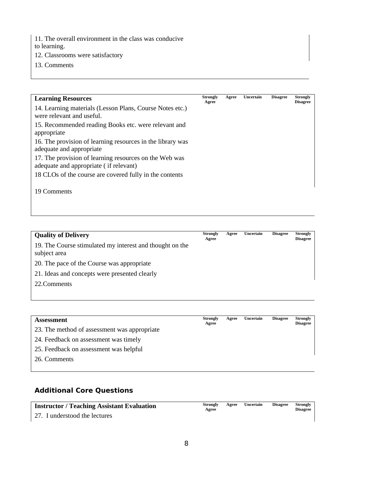11. The overall environment in the class was conducive

to learning.

- 12. Classrooms were satisfactory
- 13. Comments

| <b>Learning Resources</b>                                                             | <b>Strongly</b><br>Agree | Agree | Uncertain | <b>Disagree</b> | <b>Strongly</b><br><b>Disagree</b> |
|---------------------------------------------------------------------------------------|--------------------------|-------|-----------|-----------------|------------------------------------|
| 14. Learning materials (Lesson Plans, Course Notes etc.)<br>were relevant and useful. |                          |       |           |                 |                                    |
| 15. Recommended reading Books etc. were relevant and                                  |                          |       |           |                 |                                    |
| appropriate                                                                           |                          |       |           |                 |                                    |
| 16. The provision of learning resources in the library was                            |                          |       |           |                 |                                    |
| adequate and appropriate                                                              |                          |       |           |                 |                                    |
| 17. The provision of learning resources on the Web was                                |                          |       |           |                 |                                    |
| adequate and appropriate (if relevant)                                                |                          |       |           |                 |                                    |
| 18 CLOs of the course are covered fully in the contents                               |                          |       |           |                 |                                    |
|                                                                                       |                          |       |           |                 |                                    |
| 19 Comments                                                                           |                          |       |           |                 |                                    |

| <b>Quality of Delivery</b>                                               | <b>Strongly</b><br>Agree | Agree | Uncertain | <b>Disagree</b> | <b>Strongly</b><br><b>Disagree</b> |
|--------------------------------------------------------------------------|--------------------------|-------|-----------|-----------------|------------------------------------|
| 19. The Course stimulated my interest and thought on the<br>subject area |                          |       |           |                 |                                    |
| 20. The pace of the Course was appropriate                               |                          |       |           |                 |                                    |
| 21. Ideas and concepts were presented clearly                            |                          |       |           |                 |                                    |
| 22. Comments                                                             |                          |       |           |                 |                                    |

| <b>Assessment</b>                            | Strongly<br>Agree | Agree | Uncertain | <b>Disagree</b> | <b>Strongly</b><br><b>Disagree</b> |
|----------------------------------------------|-------------------|-------|-----------|-----------------|------------------------------------|
| 23. The method of assessment was appropriate |                   |       |           |                 |                                    |
| 24. Feedback on assessment was timely        |                   |       |           |                 |                                    |
| 25. Feedback on assessment was helpful       |                   |       |           |                 |                                    |
| 26. Comments                                 |                   |       |           |                 |                                    |

## **Additional Core Questions**

| <b>Instructor / Teaching Assistant Evaluation</b> | Strongly<br>Agree | Agree | Uncertain | Disagree | Strongly<br>Disagree |
|---------------------------------------------------|-------------------|-------|-----------|----------|----------------------|
| 27. I understood the lectures                     |                   |       |           |          |                      |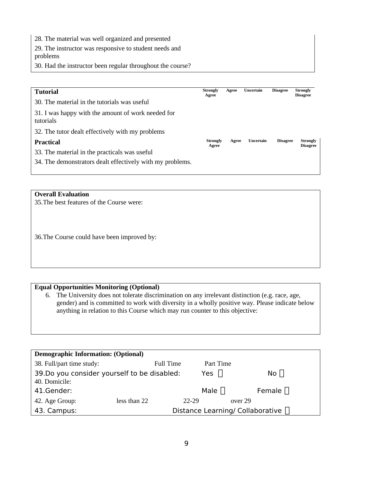28. The material was well organized and presented

29. The instructor was responsive to student needs and problems

30. Had the instructor been regular throughout the course?

| <b>Tutorial</b>                                                 | Strongly<br>Agree        | Agree | Uncertain | <b>Disagree</b> | Strongly<br><b>Disagree</b> |
|-----------------------------------------------------------------|--------------------------|-------|-----------|-----------------|-----------------------------|
| 30. The material in the tutorials was useful                    |                          |       |           |                 |                             |
| 31. I was happy with the amount of work needed for<br>tutorials |                          |       |           |                 |                             |
| 32. The tutor dealt effectively with my problems                |                          |       |           |                 |                             |
| <b>Practical</b>                                                | <b>Strongly</b><br>Agree | Agree | Uncertain | <b>Disagree</b> | Strongly<br><b>Disagree</b> |
| 33. The material in the practicals was useful                   |                          |       |           |                 |                             |
| 34. The demonstrators dealt effectively with my problems.       |                          |       |           |                 |                             |
|                                                                 |                          |       |           |                 |                             |

#### **Overall Evaluation**

35.The best features of the Course were:

36.The Course could have been improved by:

#### **Equal Opportunities Monitoring (Optional)**

6. The University does not tolerate discrimination on any irrelevant distinction (e.g. race, age, gender) and is committed to work with diversity in a wholly positive way. Please indicate below anything in relation to this Course which may run counter to this objective:

| <b>Demographic Information: (Optional)</b>  |              |           |             |                                         |  |  |  |  |
|---------------------------------------------|--------------|-----------|-------------|-----------------------------------------|--|--|--|--|
| 38. Full/part time study:                   |              | Full Time | Part Time   |                                         |  |  |  |  |
| 39.Do you consider yourself to be disabled: |              |           | Yes $\Box$  | No $\Box$                               |  |  |  |  |
| 40. Domicile:                               |              |           |             |                                         |  |  |  |  |
| 41.Gender:                                  |              |           | Male $\Box$ | Female $\Box$                           |  |  |  |  |
| 42. Age Group:                              | less than 22 | 22-29     |             | over 29                                 |  |  |  |  |
| 43. Campus:                                 |              |           |             | Distance Learning/ Collaborative $\Box$ |  |  |  |  |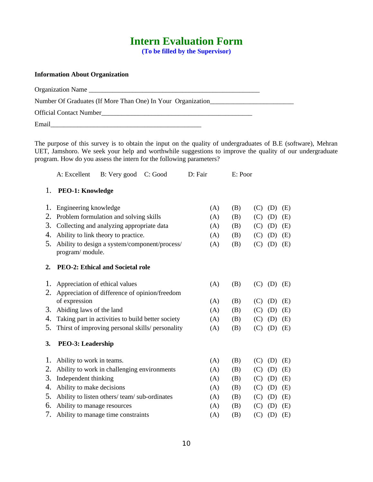## **Intern Evaluation Form**

**(To be filled by the Supervisor)**

#### **Information About Organization**

Organization Name \_\_\_\_\_\_\_\_\_\_\_\_\_\_\_\_\_\_\_\_\_\_\_\_\_\_\_\_\_\_\_\_\_\_\_\_\_\_\_\_\_\_\_\_\_\_\_\_\_\_\_ Number Of Graduates (If More Than One) In Your Organization\_\_\_\_\_\_\_\_\_\_\_\_\_\_\_\_\_\_\_\_\_ Official Contact Number\_\_\_\_\_\_\_\_\_\_\_\_\_\_\_\_\_\_\_\_\_\_\_\_\_\_\_\_\_\_\_\_\_\_\_\_\_\_\_\_\_\_\_\_\_ Email\_\_\_\_\_\_\_\_\_\_\_\_\_\_\_\_\_\_\_\_\_\_\_\_\_\_\_\_\_\_\_\_\_\_\_\_\_\_\_\_\_\_\_\_\_

The purpose of this survey is to obtain the input on the quality of undergraduates of B.E (software), Mehran UET, Jamshoro. We seek your help and worthwhile suggestions to improve the quality of our undergraduate program. How do you assess the intern for the following parameters?

|    | A: Excellent                            | B: Very good                                      | C: Good | D: Fair           | E: Poor           |                   |  |  |
|----|-----------------------------------------|---------------------------------------------------|---------|-------------------|-------------------|-------------------|--|--|
| 1. | <b>PEO-1: Knowledge</b>                 |                                                   |         |                   |                   |                   |  |  |
| 1. | Engineering knowledge                   |                                                   |         | (A)               | (B)               | (C)<br>(D)<br>(E) |  |  |
| 2. |                                         | Problem formulation and solving skills            |         | (A)               | (B)               | (C)<br>(D)<br>(E) |  |  |
| З. |                                         | Collecting and analyzing appropriate data         |         | (A)               | (B)               | (C)<br>(D)<br>(E) |  |  |
| 4. |                                         | Ability to link theory to practice.               |         | (A)               | (B)               | (C)<br>(D)<br>(E) |  |  |
| 5. | program/ module.                        | Ability to design a system/component/process/     | (A)     | (B)               | (C)<br>(D)<br>(E) |                   |  |  |
| 2. | <b>PEO-2: Ethical and Societal role</b> |                                                   |         |                   |                   |                   |  |  |
| 1. | Appreciation of ethical values          |                                                   |         | (A)               | (B)               | (C)<br>(D)<br>(E) |  |  |
| 2. |                                         | Appreciation of difference of opinion/freedom     |         |                   |                   |                   |  |  |
|    | of expression                           | (A)                                               | (B)     | (C)<br>(D)<br>(E) |                   |                   |  |  |
| 3. | Abiding laws of the land                |                                                   |         | (A)               | (B)               | (C)<br>(D)<br>(E) |  |  |
| 4. |                                         | Taking part in activities to build better society |         | (A)               | (B)               | (C)<br>(D)<br>(E) |  |  |
| 5. |                                         | Thirst of improving personal skills/ personality  | (A)     | (B)               | (C)<br>(D)<br>(E) |                   |  |  |
| З. | <b>PEO-3: Leadership</b>                |                                                   |         |                   |                   |                   |  |  |
| 1. | Ability to work in teams.               |                                                   |         | (A)               | (B)               | (C)<br>(D)<br>(E) |  |  |
| 2. |                                         | Ability to work in challenging environments       |         | (A)               | (B)               | (C)<br>(D)<br>(E) |  |  |
| З. | Independent thinking                    |                                                   |         | (A)               | (B)               | (C)<br>(D)<br>(E) |  |  |
| 4. | Ability to make decisions               |                                                   |         | (A)               | (B)               | (C)<br>(D)<br>(E) |  |  |
| 5. |                                         | Ability to listen others/team/sub-ordinates       |         | (A)               | (B)               | (C)<br>(D)<br>(E) |  |  |
| 6. | Ability to manage resources             |                                                   |         | (A)               | (B)               | (C)<br>(D)<br>(E) |  |  |
| 7. |                                         | Ability to manage time constraints                |         | (A)               | (B)               | (C)<br>(D)<br>(E) |  |  |